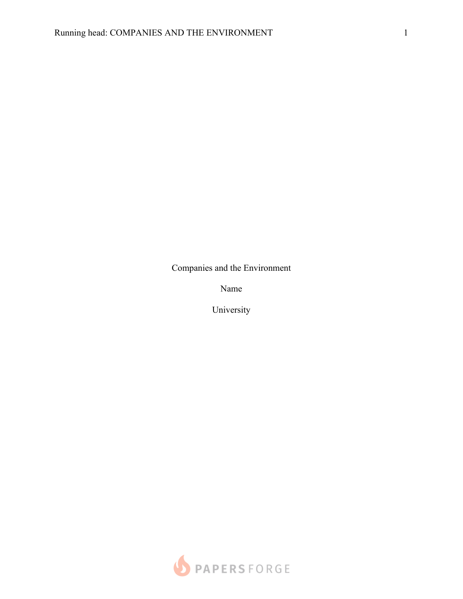Companies and the Environment

Name

University

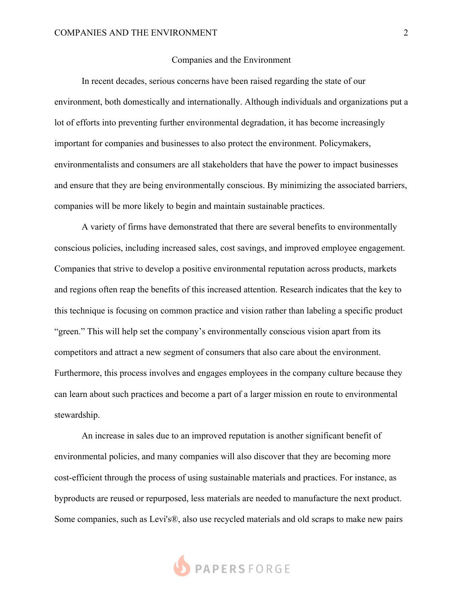## Companies and the Environment

In recent decades, serious concerns have been raised regarding the state of our environment, both domestically and internationally. Although individuals and organizations put a lot of efforts into preventing further environmental degradation, it has become increasingly important for companies and businesses to also protect the environment. Policymakers, environmentalists and consumers are all stakeholders that have the power to impact businesses and ensure that they are being environmentally conscious. By minimizing the associated barriers, companies will be more likely to begin and maintain sustainable practices.

A variety of firms have demonstrated that there are several benefits to environmentally conscious policies, including increased sales, cost savings, and improved employee engagement. Companies that strive to develop a positive environmental reputation across products, markets and regions often reap the benefits of this increased attention. Research indicates that the key to this technique is focusing on common practice and vision rather than labeling a specific product "green." This will help set the company's environmentally conscious vision apart from its competitors and attract a new segment of consumers that also care about the environment. Furthermore, this process involves and engages employees in the company culture because they can learn about such practices and become a part of a larger mission en route to environmental stewardship.

An increase in sales due to an improved reputation is another significant benefit of environmental policies, and many companies will also discover that they are becoming more cost-efficient through the process of using sustainable materials and practices. For instance, as byproducts are reused or repurposed, less materials are needed to manufacture the next product. Some companies, such as Levi's®, also use recycled materials and old scraps to make new pairs

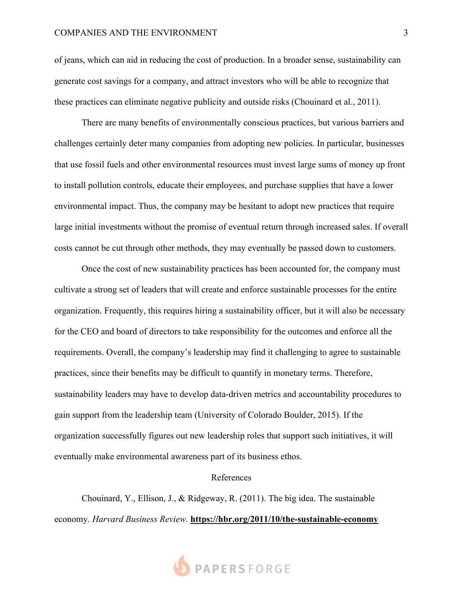## COMPANIES AND THE ENVIRONMENT 3

of jeans, which can aid in reducing the cost of production. In a broader sense, sustainability can generate cost savings for a company, and attract investors who will be able to recognize that these practices can eliminate negative publicity and outside risks (Chouinard et al., 2011).

There are many benefits of environmentally conscious practices, but various barriers and challenges certainly deter many companies from adopting new policies. In particular, businesses that use fossil fuels and other environmental resources must invest large sums of money up front to install pollution controls, educate their employees, and purchase supplies that have a lower environmental impact. Thus, the company may be hesitant to adopt new practices that require large initial investments without the promise of eventual return through increased sales. If overall costs cannot be cut through other methods, they may eventually be passed down to customers.

Once the cost of new sustainability practices has been accounted for, the company must cultivate a strong set of leaders that will create and enforce sustainable processes for the entire organization. Frequently, this requires hiring a sustainability officer, but it will also be necessary for the CEO and board of directors to take responsibility for the outcomes and enforce all the requirements. Overall, the company's leadership may find it challenging to agree to sustainable practices, since their benefits may be difficult to quantify in monetary terms. Therefore, sustainability leaders may have to develop data-driven metrics and accountability procedures to gain support from the leadership team (University of Colorado Boulder, 2015). If the organization successfully figures out new leadership roles that support such initiatives, it will eventually make environmental awareness part of its business ethos.

## References

Chouinard, Y., Ellison, J., & Ridgeway, R. (2011). The big idea. The sustainable economy. *Harvard Business Review.* **https://hbr.org/2011/10/the-sustainable-economy**